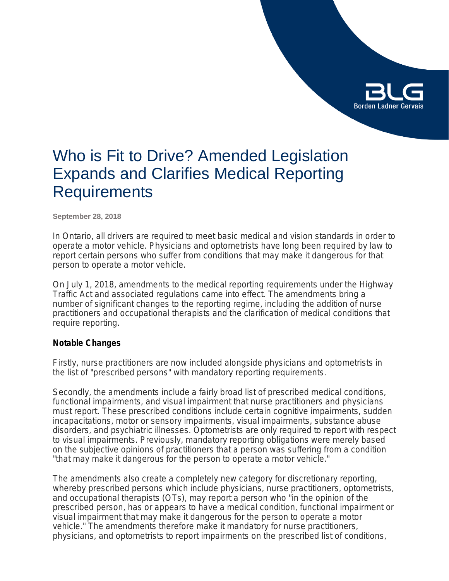

# Who is Fit to Drive? Amended Legislation Expands and Clarifies Medical Reporting **Requirements**

**September 28, 2018**

In Ontario, all drivers are required to meet basic medical and vision standards in order to operate a motor vehicle. Physicians and optometrists have long been required by law to report certain persons who suffer from conditions that may make it dangerous for that person to operate a motor vehicle.

On July 1, 2018, amendments to the medical reporting requirements under the *Highway Traffic Act* and associated regulations came into effect. The amendments bring a number of significant changes to the reporting regime, including the addition of nurse practitioners and occupational therapists and the clarification of medical conditions that require reporting.

# **Notable Changes**

Firstly, nurse practitioners are now included alongside physicians and optometrists in the list of "prescribed persons" with mandatory reporting requirements.

Secondly, the amendments include a fairly broad list of prescribed medical conditions, functional impairments, and visual impairment that nurse practitioners and physicians must report. These prescribed conditions include certain cognitive impairments, sudden incapacitations, motor or sensory impairments, visual impairments, substance abuse disorders, and psychiatric illnesses. Optometrists are only required to report with respect to visual impairments. Previously, mandatory reporting obligations were merely based on the subjective opinions of practitioners that a person was suffering from a condition "that may make it dangerous for the person to operate a motor vehicle."

The amendments also create a completely new category for discretionary reporting, whereby prescribed persons which include physicians, nurse practitioners, optometrists, and occupational therapists (OTs), may report a person who "in the opinion of the prescribed person, has or appears to have a medical condition, functional impairment or visual impairment that may make it dangerous for the person to operate a motor vehicle." The amendments therefore make it mandatory for nurse practitioners, physicians, and optometrists to report impairments on the prescribed list of conditions,